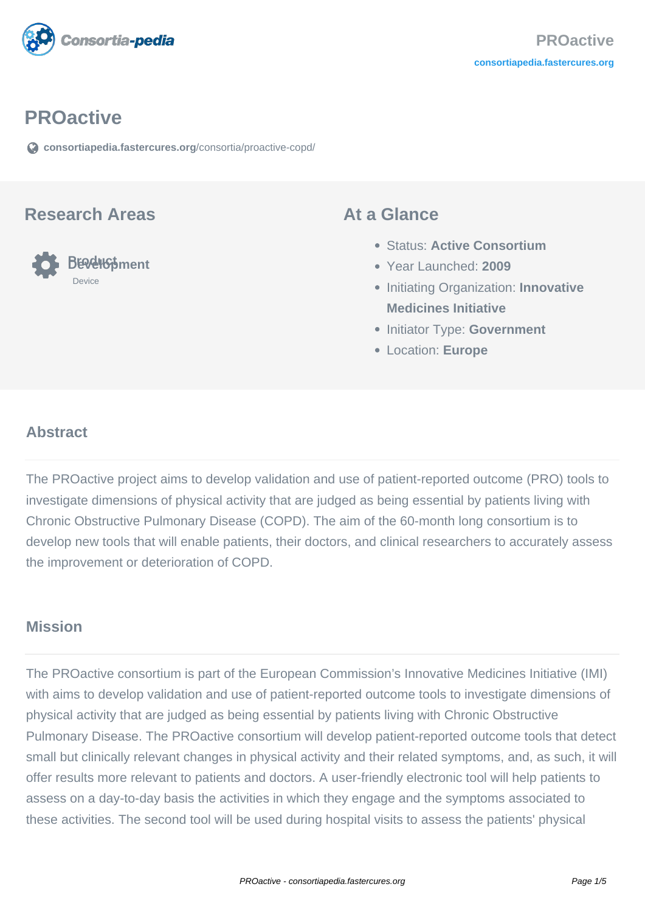

#### **PROactive**

**[consortiapedia.fastercures.org](https://consortiapedia.fastercures.org/consortia/proactive-copd/)**[/consortia/proactive-copd/](https://consortiapedia.fastercures.org/consortia/proactive-copd/)

#### **Research Areas**



#### **At a Glance**

- Status: **Active Consortium**
- Year Launched: **2009**
- **Initiating Organization: Innovative Medicines Initiative**
- **Initiator Type: Government**
- Location: **Europe**

#### $\overline{a}$ **Abstract**

The PROactive project aims to develop validation and use of patient-reported outcome (PRO) tools to investigate dimensions of physical activity that are judged as being essential by patients living with Chronic Obstructive Pulmonary Disease (COPD). The aim of the 60-month long consortium is to develop new tools that will enable patients, their doctors, and clinical researchers to accurately assess the improvement or deterioration of COPD.

#### **Mission**

The PROactive consortium is part of the European Commission's Innovative Medicines Initiative (IMI) with aims to develop validation and use of patient-reported outcome tools to investigate dimensions of physical activity that are judged as being essential by patients living with Chronic Obstructive Pulmonary Disease. The PROactive consortium will develop patient-reported outcome tools that detect small but clinically relevant changes in physical activity and their related symptoms, and, as such, it will offer results more relevant to patients and doctors. A user-friendly electronic tool will help patients to assess on a day-to-day basis the activities in which they engage and the symptoms associated to these activities. The second tool will be used during hospital visits to assess the patients' physical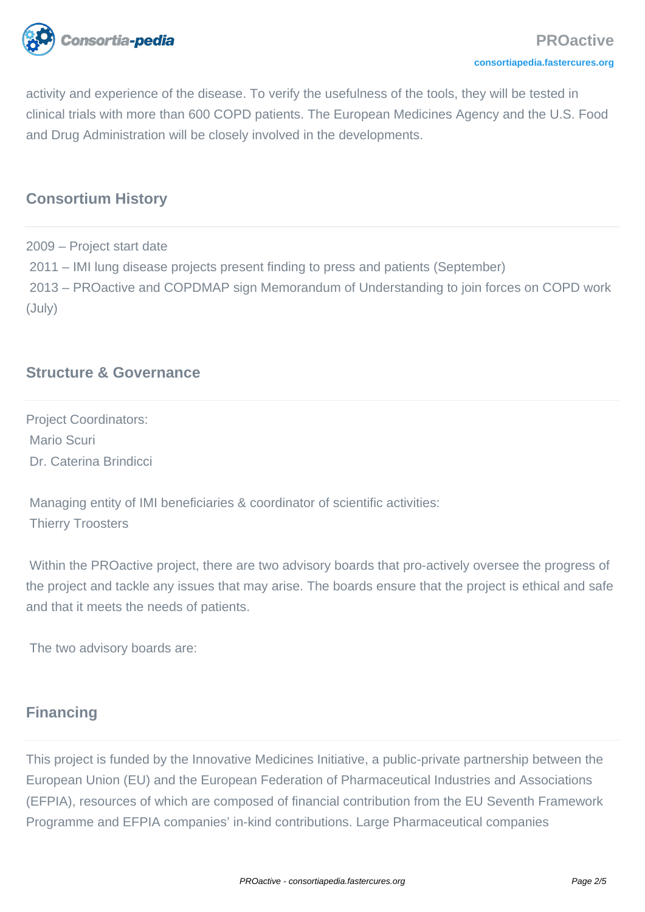

activity and experience of the disease. To verify the usefulness of the tools, they will be tested in clinical trials with more than 600 COPD patients. The European Medicines Agency and the U.S. Food and Drug Administration will be closely involved in the developments.

# **Consortium History**

2009 – Project start date 2011 – IMI lung disease projects present finding to press and patients (September) 2013 – PROactive and COPDMAP sign Memorandum of Understanding to join forces on COPD work (July)

# **Structure & Governance**

Project Coordinators: Mario Scuri Dr. Caterina Brindicci

 Managing entity of IMI beneficiaries & coordinator of scientific activities: Thierry Troosters

 Within the PROactive project, there are two advisory boards that pro-actively oversee the progress of the project and tackle any issues that may arise. The boards ensure that the project is ethical and safe and that it meets the needs of patients.

The two advisory boards are:

#### **Financing**

This project is funded by the Innovative Medicines Initiative, a public-private partnership between the European Union (EU) and the European Federation of Pharmaceutical Industries and Associations (EFPIA), resources of which are composed of financial contribution from the EU Seventh Framework Programme and EFPIA companies' in-kind contributions. Large Pharmaceutical companies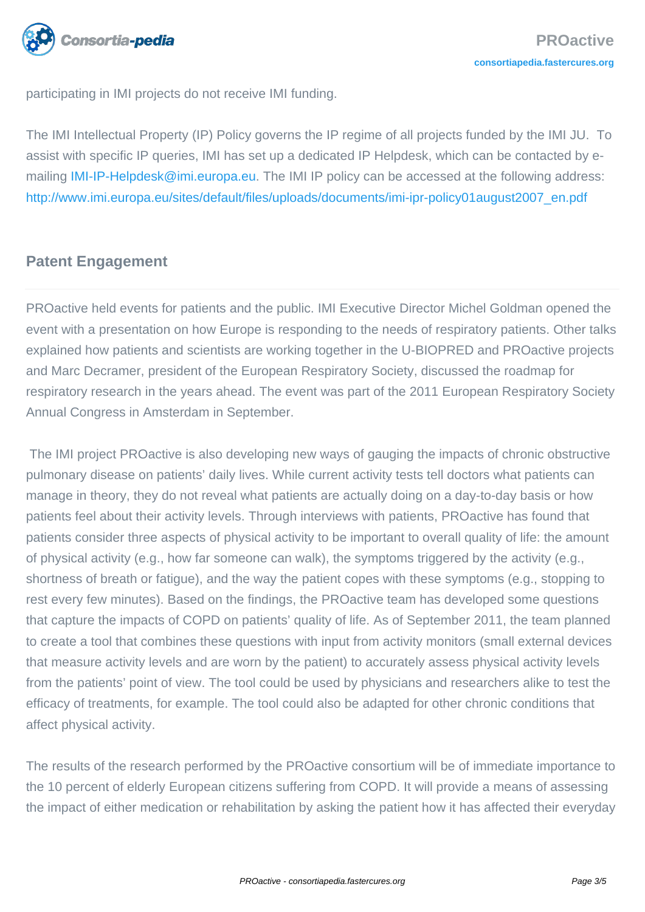

participating in IMI projects do not receive IMI funding.

The IMI Intellectual Property (IP) Policy governs the IP regime of all projects funded by the IMI JU. To assist with specific IP queries, IMI has set up a dedicated IP Helpdesk, which can be contacted by e-mailing [IMI-IP-Helpdesk@imi.europa.eu](mailto:IMI-IP-Helpdesk@imi.europa.eu). The IMI IP policy can be accessed at the following address: [http://www.imi.europa.eu/sites/default/files/uploads/documents/imi-ipr-policy01august2007\\_en.pdf](http://www.imi.europa.eu/sites/default/files/uploads/documents/imi-ipr-policy01august2007_en.pdf)

# **Patent Engagement**

PROactive held events for patients and the public. IMI Executive Director Michel Goldman opened the event with a presentation on how Europe is responding to the needs of respiratory patients. Other talks explained how patients and scientists are working together in the U-BIOPRED and PROactive projects and Marc Decramer, president of the European Respiratory Society, discussed the roadmap for respiratory research in the years ahead. The event was part of the 2011 European Respiratory Society Annual Congress in Amsterdam in September.

 The IMI project PROactive is also developing new ways of gauging the impacts of chronic obstructive pulmonary disease on patients' daily lives. While current activity tests tell doctors what patients can manage in theory, they do not reveal what patients are actually doing on a day-to-day basis or how patients feel about their activity levels. Through interviews with patients, PROactive has found that patients consider three aspects of physical activity to be important to overall quality of life: the amount of physical activity (e.g., how far someone can walk), the symptoms triggered by the activity (e.g., shortness of breath or fatigue), and the way the patient copes with these symptoms (e.g., stopping to rest every few minutes). Based on the findings, the PROactive team has developed some questions that capture the impacts of COPD on patients' quality of life. As of September 2011, the team planned to create a tool that combines these questions with input from activity monitors (small external devices that measure activity levels and are worn by the patient) to accurately assess physical activity levels from the patients' point of view. The tool could be used by physicians and researchers alike to test the efficacy of treatments, for example. The tool could also be adapted for other chronic conditions that affect physical activity.

The results of the research performed by the PROactive consortium will be of immediate importance to the 10 percent of elderly European citizens suffering from COPD. It will provide a means of assessing the impact of either medication or rehabilitation by asking the patient how it has affected their everyday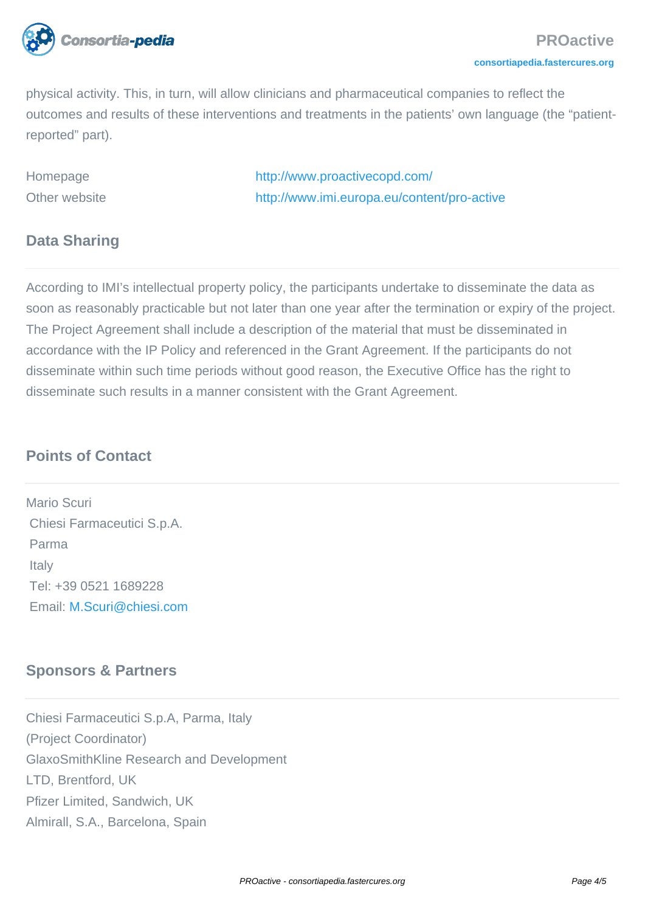

physical activity. This, in turn, will allow clinicians and pharmaceutical companies to reflect the outcomes and results of these interventions and treatments in the patients' own language (the "patientreported" part).

Homepage <http://www.proactivecopd.com/> Other website <http://www.imi.europa.eu/content/pro-active>

## **Data Sharing**

According to IMI's intellectual property policy, the participants undertake to disseminate the data as soon as reasonably practicable but not later than one year after the termination or expiry of the project. The Project Agreement shall include a description of the material that must be disseminated in accordance with the IP Policy and referenced in the Grant Agreement. If the participants do not disseminate within such time periods without good reason, the Executive Office has the right to disseminate such results in a manner consistent with the Grant Agreement.

## **Points of Contact**

Mario Scuri Chiesi Farmaceutici S.p.A. Parma **Italy**  Tel: +39 0521 1689228 Email: [M.Scuri@chiesi.com](mailto:M.Scuri@chiesi.com)

# **Sponsors & Partners**

Chiesi Farmaceutici S.p.A, Parma, Italy (Project Coordinator) GlaxoSmithKline Research and Development LTD, Brentford, UK Pfizer Limited, Sandwich, UK Almirall, S.A., Barcelona, Spain